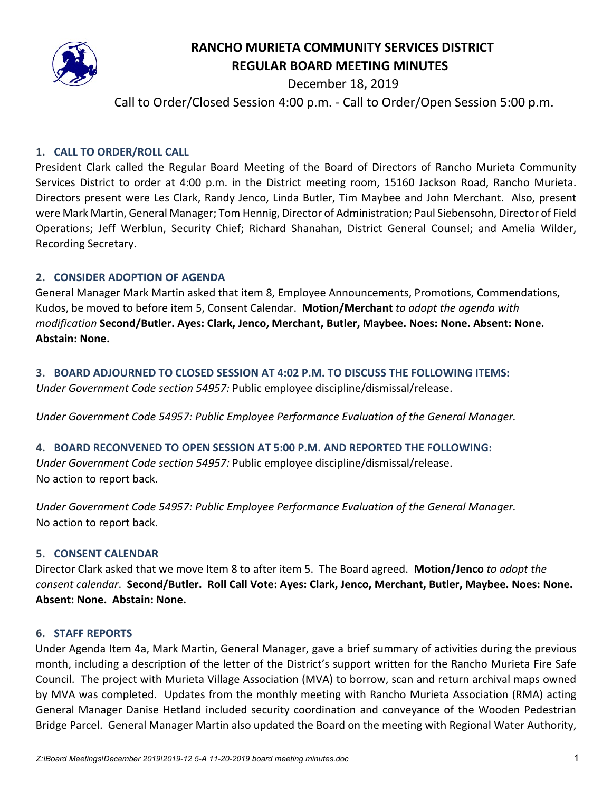

# **RANCHO MURIETA COMMUNITY SERVICES DISTRICT REGULAR BOARD MEETING MINUTES**

December 18, 2019

Call to Order/Closed Session 4:00 p.m. - Call to Order/Open Session 5:00 p.m.

# **1. CALL TO ORDER/ROLL CALL**

President Clark called the Regular Board Meeting of the Board of Directors of Rancho Murieta Community Services District to order at 4:00 p.m. in the District meeting room, 15160 Jackson Road, Rancho Murieta. Directors present were Les Clark, Randy Jenco, Linda Butler, Tim Maybee and John Merchant. Also, present were Mark Martin, General Manager; Tom Hennig, Director of Administration; Paul Siebensohn, Director of Field Operations; Jeff Werblun, Security Chief; Richard Shanahan, District General Counsel; and Amelia Wilder, Recording Secretary.

## **2. CONSIDER ADOPTION OF AGENDA**

General Manager Mark Martin asked that item 8, Employee Announcements, Promotions, Commendations, Kudos, be moved to before item 5, Consent Calendar. **Motion/Merchant** *to adopt the agenda with modification* **Second/Butler. Ayes: Clark, Jenco, Merchant, Butler, Maybee. Noes: None. Absent: None. Abstain: None.** 

## **3. BOARD ADJOURNED TO CLOSED SESSION AT 4:02 P.M. TO DISCUSS THE FOLLOWING ITEMS:**

*Under Government Code section 54957:* Public employee discipline/dismissal/release.

*Under Government Code 54957: Public Employee Performance Evaluation of the General Manager.*

### **4. BOARD RECONVENED TO OPEN SESSION AT 5:00 P.M. AND REPORTED THE FOLLOWING:**

*Under Government Code section 54957:* Public employee discipline/dismissal/release. No action to report back.

*Under Government Code 54957: Public Employee Performance Evaluation of the General Manager.* No action to report back.

### **5. CONSENT CALENDAR**

Director Clark asked that we move Item 8 to after item 5.The Board agreed. **Motion/Jenco** *to adopt the consent calendar*. **Second/Butler. Roll Call Vote: Ayes: Clark, Jenco, Merchant, Butler, Maybee. Noes: None. Absent: None. Abstain: None.** 

### **6. STAFF REPORTS**

Under Agenda Item 4a, Mark Martin, General Manager, gave a brief summary of activities during the previous month, including a description of the letter of the District's support written for the Rancho Murieta Fire Safe Council. The project with Murieta Village Association (MVA) to borrow, scan and return archival maps owned by MVA was completed. Updates from the monthly meeting with Rancho Murieta Association (RMA) acting General Manager Danise Hetland included security coordination and conveyance of the Wooden Pedestrian Bridge Parcel. General Manager Martin also updated the Board on the meeting with Regional Water Authority,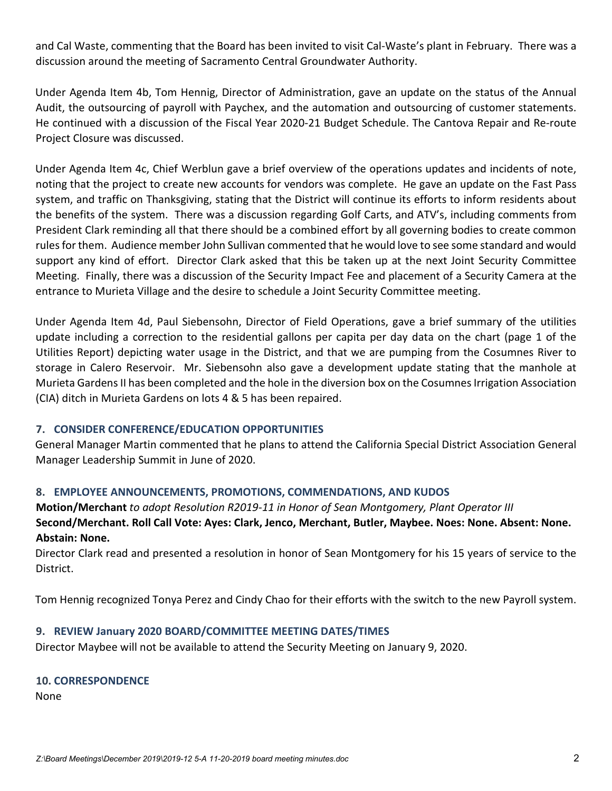and Cal Waste, commenting that the Board has been invited to visit Cal-Waste's plant in February. There was a discussion around the meeting of Sacramento Central Groundwater Authority.

Under Agenda Item 4b, Tom Hennig, Director of Administration, gave an update on the status of the Annual Audit, the outsourcing of payroll with Paychex, and the automation and outsourcing of customer statements. He continued with a discussion of the Fiscal Year 2020-21 Budget Schedule. The Cantova Repair and Re-route Project Closure was discussed.

Under Agenda Item 4c, Chief Werblun gave a brief overview of the operations updates and incidents of note, noting that the project to create new accounts for vendors was complete. He gave an update on the Fast Pass system, and traffic on Thanksgiving, stating that the District will continue its efforts to inform residents about the benefits of the system. There was a discussion regarding Golf Carts, and ATV's, including comments from President Clark reminding all that there should be a combined effort by all governing bodies to create common rules for them. Audience member John Sullivan commented that he would love to see some standard and would support any kind of effort. Director Clark asked that this be taken up at the next Joint Security Committee Meeting. Finally, there was a discussion of the Security Impact Fee and placement of a Security Camera at the entrance to Murieta Village and the desire to schedule a Joint Security Committee meeting.

Under Agenda Item 4d, Paul Siebensohn, Director of Field Operations, gave a brief summary of the utilities update including a correction to the residential gallons per capita per day data on the chart (page 1 of the Utilities Report) depicting water usage in the District, and that we are pumping from the Cosumnes River to storage in Calero Reservoir. Mr. Siebensohn also gave a development update stating that the manhole at Murieta GardensII has been completed and the hole in the diversion box on the Cosumnes Irrigation Association (CIA) ditch in Murieta Gardens on lots 4 & 5 has been repaired.

# **7. CONSIDER CONFERENCE/EDUCATION OPPORTUNITIES**

General Manager Martin commented that he plans to attend the California Special District Association General Manager Leadership Summit in June of 2020.

### **8. EMPLOYEE ANNOUNCEMENTS, PROMOTIONS, COMMENDATIONS, AND KUDOS**

**Motion/Merchant** *to adopt Resolution R2019-11 in Honor of Sean Montgomery, Plant Operator III*  **Second/Merchant. Roll Call Vote: Ayes: Clark, Jenco, Merchant, Butler, Maybee. Noes: None. Absent: None. Abstain: None.** 

Director Clark read and presented a resolution in honor of Sean Montgomery for his 15 years of service to the District.

Tom Hennig recognized Tonya Perez and Cindy Chao for their efforts with the switch to the new Payroll system.

# **9. REVIEW January 2020 BOARD/COMMITTEE MEETING DATES/TIMES**

Director Maybee will not be available to attend the Security Meeting on January 9, 2020.

### **10. CORRESPONDENCE**

None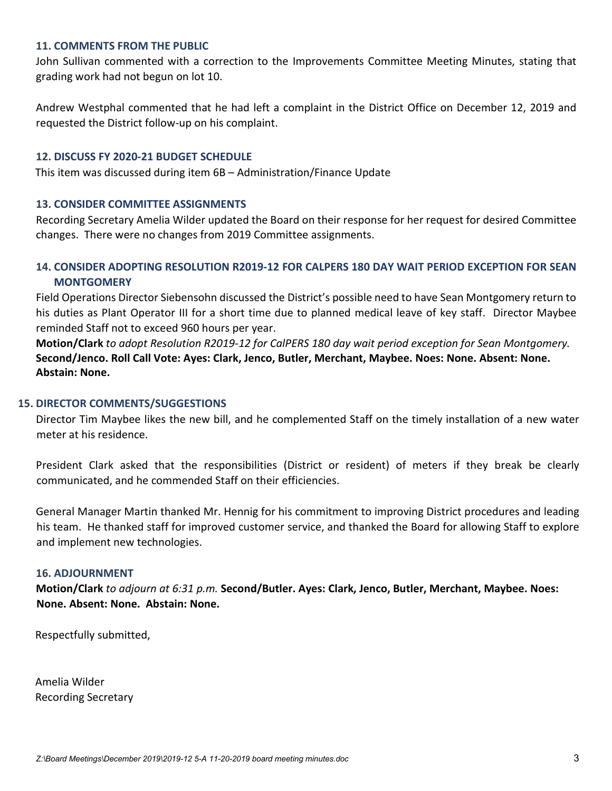#### **11. COMMENTS FROM THE PUBLIC**

John Sullivan commented with a correction to the Improvements Committee Meeting Minutes, stating that grading work had not begun on lot 10.

Andrew Westphal commented that he had left a complaint in the District Office on December 12, 2019 and requested the District follow-up on his complaint.

#### **12. DISCUSS FY 2020-21 BUDGET SCHEDULE**

This item was discussed during item 6B – Administration/Finance Update

#### **13. CONSIDER COMMITTEE ASSIGNMENTS**

Recording Secretary Amelia Wilder updated the Board on their response for her request for desired Committee changes. There were no changes from 2019 Committee assignments.

# **14. CONSIDER ADOPTING RESOLUTION R2019-12 FOR CALPERS 180 DAY WAIT PERIOD EXCEPTION FOR SEAN MONTGOMERY**

Field Operations Director Siebensohn discussed the District's possible need to have Sean Montgomery return to his duties as Plant Operator III for a short time due to planned medical leave of key staff. Director Maybee reminded Staff not to exceed 960 hours per year.

**Motion/Clark** *to adopt Resolution R2019-12 for CalPERS 180 day wait period exception for Sean Montgomery.* **Second/Jenco. Roll Call Vote: Ayes: Clark, Jenco, Butler, Merchant, Maybee. Noes: None. Absent: None. Abstain: None.** 

#### **15. DIRECTOR COMMENTS/SUGGESTIONS**

Director Tim Maybee likes the new bill, and he complemented Staff on the timely installation of a new water meter at his residence.

President Clark asked that the responsibilities (District or resident) of meters if they break be clearly communicated, and he commended Staff on their efficiencies.

General Manager Martin thanked Mr. Hennig for his commitment to improving District procedures and leading his team. He thanked staff for improved customer service, and thanked the Board for allowing Staff to explore and implement new technologies.

#### **16. ADJOURNMENT**

**Motion/Clark** *to adjourn at 6:31 p.m.* **Second/Butler. Ayes: Clark, Jenco, Butler, Merchant, Maybee. Noes: None. Absent: None. Abstain: None.** 

Respectfully submitted,

Amelia Wilder Recording Secretary